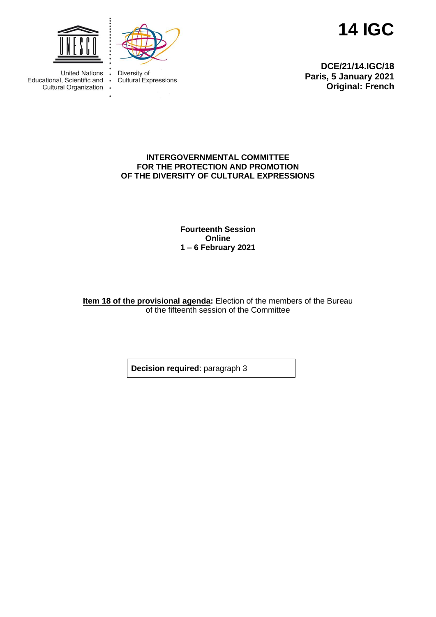

 $\bullet$ 



**14 IGC**

United Nations : Educational, Scientific and Cultural Organization . Diversity of **Cultural Expressions** 

**DCE/21/14.IGC/18 Paris, 5 January 2021 Original: French**

## **INTERGOVERNMENTAL COMMITTEE FOR THE PROTECTION AND PROMOTION OF THE DIVERSITY OF CULTURAL EXPRESSIONS**

**Fourteenth Session Online 1 – 6 February 2021**

**Item 18 of the provisional agenda:** Election of the members of the Bureau of the fifteenth session of the Committee

**Decision required**: paragraph 3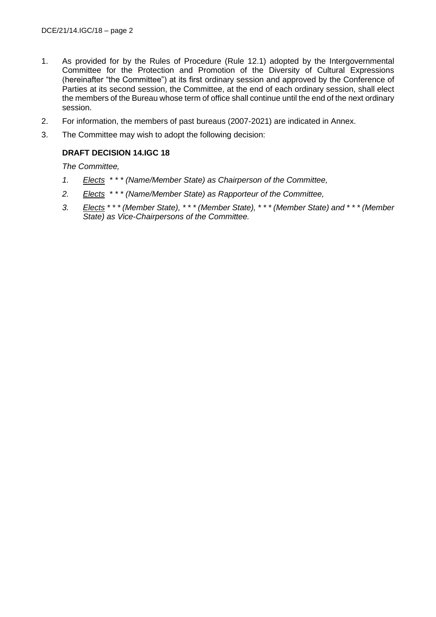- 1. As provided for by the Rules of Procedure (Rule 12.1) adopted by the Intergovernmental Committee for the Protection and Promotion of the Diversity of Cultural Expressions (hereinafter "the Committee") at its first ordinary session and approved by the Conference of Parties at its second session, the Committee, at the end of each ordinary session, shall elect the members of the Bureau whose term of office shall continue until the end of the next ordinary session.
- 2. For information, the members of past bureaus (2007-2021) are indicated in Annex.
- 3. The Committee may wish to adopt the following decision:

## **DRAFT DECISION 14.IGC 18**

*The Committee,*

- *1. Elects \* \* \* (Name/Member State) as Chairperson of the Committee,*
- *2. Elects \* \* \* (Name/Member State) as Rapporteur of the Committee,*
- *3. Elects \* \* \* (Member State), \* \* \* (Member State), \* \* \* (Member State) and \* \* \* (Member State) as Vice-Chairpersons of the Committee.*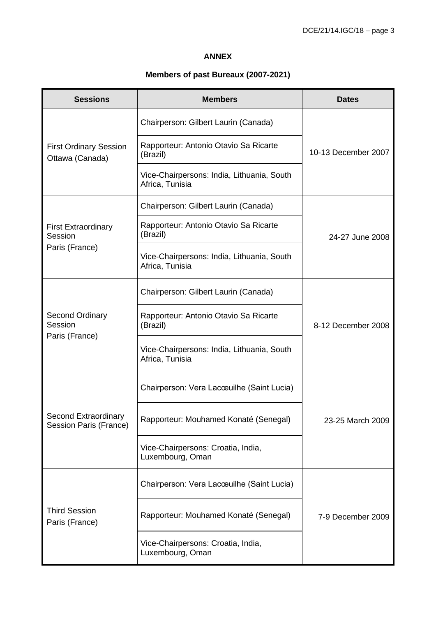## **ANNEX**

## **Members of past Bureaux (2007-2021)**

| <b>Sessions</b>                                         | <b>Members</b>                                                | <b>Dates</b>        |
|---------------------------------------------------------|---------------------------------------------------------------|---------------------|
| <b>First Ordinary Session</b><br>Ottawa (Canada)        | Chairperson: Gilbert Laurin (Canada)                          | 10-13 December 2007 |
|                                                         | Rapporteur: Antonio Otavio Sa Ricarte<br>(Brazil)             |                     |
|                                                         | Vice-Chairpersons: India, Lithuania, South<br>Africa, Tunisia |                     |
| <b>First Extraordinary</b><br>Session<br>Paris (France) | Chairperson: Gilbert Laurin (Canada)                          | 24-27 June 2008     |
|                                                         | Rapporteur: Antonio Otavio Sa Ricarte<br>(Brazil)             |                     |
|                                                         | Vice-Chairpersons: India, Lithuania, South<br>Africa, Tunisia |                     |
| <b>Second Ordinary</b><br>Session<br>Paris (France)     | Chairperson: Gilbert Laurin (Canada)                          |                     |
|                                                         | Rapporteur: Antonio Otavio Sa Ricarte<br>(Brazil)             | 8-12 December 2008  |
|                                                         | Vice-Chairpersons: India, Lithuania, South<br>Africa, Tunisia |                     |
| Second Extraordinary<br><b>Session Paris (France)</b>   | Chairperson: Vera Lacœuilhe (Saint Lucia)                     |                     |
|                                                         | Rapporteur: Mouhamed Konaté (Senegal)                         | 23-25 March 2009    |
|                                                         | Vice-Chairpersons: Croatia, India,<br>Luxembourg, Oman        |                     |
| <b>Third Session</b><br>Paris (France)                  | Chairperson: Vera Lacœuilhe (Saint Lucia)                     |                     |
|                                                         | Rapporteur: Mouhamed Konaté (Senegal)                         | 7-9 December 2009   |
|                                                         | Vice-Chairpersons: Croatia, India,<br>Luxembourg, Oman        |                     |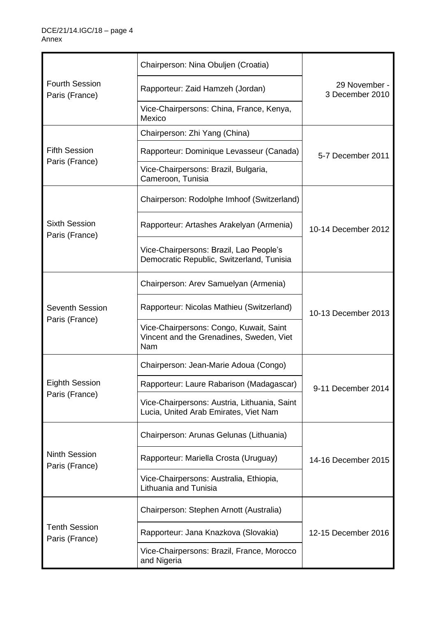| <b>Fourth Session</b><br>Paris (France)  | Chairperson: Nina Obuljen (Croatia)                                                        |                                  |
|------------------------------------------|--------------------------------------------------------------------------------------------|----------------------------------|
|                                          | Rapporteur: Zaid Hamzeh (Jordan)                                                           | 29 November -<br>3 December 2010 |
|                                          | Vice-Chairpersons: China, France, Kenya,<br>Mexico                                         |                                  |
| <b>Fifth Session</b><br>Paris (France)   | Chairperson: Zhi Yang (China)                                                              | 5-7 December 2011                |
|                                          | Rapporteur: Dominique Levasseur (Canada)                                                   |                                  |
|                                          | Vice-Chairpersons: Brazil, Bulgaria,<br>Cameroon, Tunisia                                  |                                  |
| <b>Sixth Session</b><br>Paris (France)   | Chairperson: Rodolphe Imhoof (Switzerland)                                                 |                                  |
|                                          | Rapporteur: Artashes Arakelyan (Armenia)                                                   | 10-14 December 2012              |
|                                          | Vice-Chairpersons: Brazil, Lao People's<br>Democratic Republic, Switzerland, Tunisia       |                                  |
| <b>Seventh Session</b><br>Paris (France) | Chairperson: Arev Samuelyan (Armenia)                                                      |                                  |
|                                          | Rapporteur: Nicolas Mathieu (Switzerland)                                                  | 10-13 December 2013              |
|                                          | Vice-Chairpersons: Congo, Kuwait, Saint<br>Vincent and the Grenadines, Sweden, Viet<br>Nam |                                  |
| <b>Eighth Session</b><br>Paris (France)  | Chairperson: Jean-Marie Adoua (Congo)                                                      |                                  |
|                                          | Rapporteur: Laure Rabarison (Madagascar)                                                   | 9-11 December 2014               |
|                                          | Vice-Chairpersons: Austria, Lithuania, Saint<br>Lucia, United Arab Emirates, Viet Nam      |                                  |
| <b>Ninth Session</b><br>Paris (France)   | Chairperson: Arunas Gelunas (Lithuania)                                                    |                                  |
|                                          | Rapporteur: Mariella Crosta (Uruguay)                                                      | 14-16 December 2015              |
|                                          | Vice-Chairpersons: Australia, Ethiopia,<br>Lithuania and Tunisia                           |                                  |
| <b>Tenth Session</b><br>Paris (France)   | Chairperson: Stephen Arnott (Australia)                                                    |                                  |
|                                          | Rapporteur: Jana Knazkova (Slovakia)                                                       | 12-15 December 2016              |
|                                          | Vice-Chairpersons: Brazil, France, Morocco<br>and Nigeria                                  |                                  |